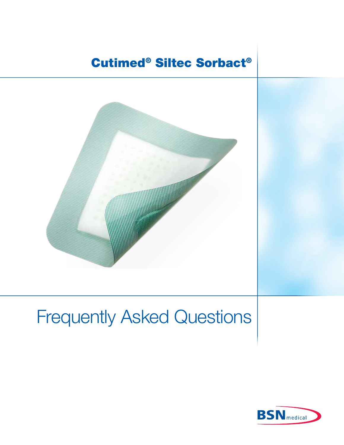### Cutimed® Siltec Sorbact®



# Frequently Asked Questions

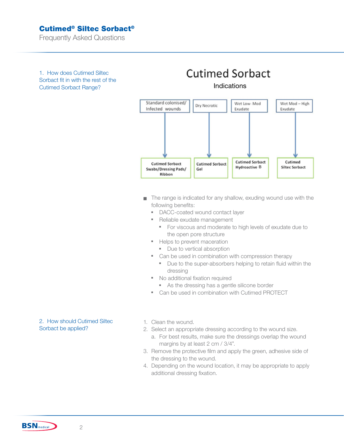### Cutimed® Siltec Sorbact®

Frequently Asked Questions

1. How does Cutimed Siltec Sorbact fit in with the rest of the Cutimed Sorbact Range?

## **Cutimed Sorbact**

Indications



- $\blacksquare$  The range is indicated for any shallow, exuding wound use with the following benefits:
	- **DACC-coated wound contact layer**
	- **Reliable exudate management** 
		- **For viscous and moderate to high levels of exudate due to** the open pore structure
	- **Helps to prevent maceration** 
		- Due to vertical absorption
	- Can be used in combination with compression therapy
- Due to the super-absorbers helping to retain fluid within the dressing
	- No additional fixation required
- As the dressing has a gentle silicone border
	- Can be used in combination with Cutimed PROTECT
- 2. How should Cutimed Siltec Sorbact be applied?
- 1. Clean the wound.
- 2. Select an appropriate dressing according to the wound size.
	- a. For best results, make sure the dressings overlap the wound margins by at least 2 cm / 3/4".
- 3. Remove the protective film and apply the green, adhesive side of the dressing to the wound.
- 4. Depending on the wound location, it may be appropriate to apply additional dressing fixation.

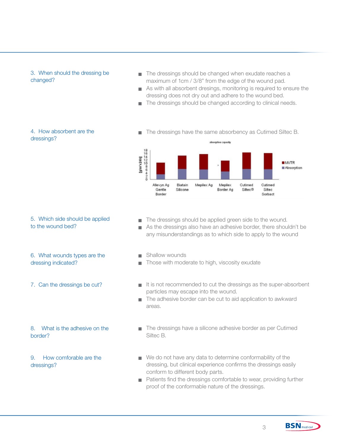#### 3. When should the dressing be changed?

- $\blacksquare$  The dressings should be changed when exudate reaches a maximum of 1cm / 3/8" from the edge of the wound pad.
- As with all absorbent dresings, monitoring is required to ensure the dressing does not dry out and adhere to the wound bed.
- The dressings should be changed according to clinical needs.

### 4. How absorbent are the dressings?

■ The dressings have the same absorbency as Cutimed Siltec B.



- 5. Which side should be applied to the wound bed?
- 6. What wounds types are the dressing indicated?
- 7. Can the dressings be cut?
- 8. What is the adhesive on the border?
- 9. How comforable are the dressings?
- The dressings should be applied green side to the wound.
- <sup>n</sup> As the dressings also have an adhesive border, there shouldn't be any misunderstandings as to which side to apply to the wound
- Shallow wounds
- Those with moderate to high, viscosity exudate
- $\blacksquare$  It is not recommended to cut the dressings as the super-absorbent particles may escape into the wound.
- The adhesive border can be cut to aid application to awkward areas.
- The dressings have a silicone adhesive border as per Cutimed Siltec B.
- $\blacksquare$  We do not have any data to determine conformability of the dressing, but clinical experience confirms the dressings easily conform to different body parts.
- n Patients find the dressings comfortable to wear, providing further proof of the conformable nature of the dressings.